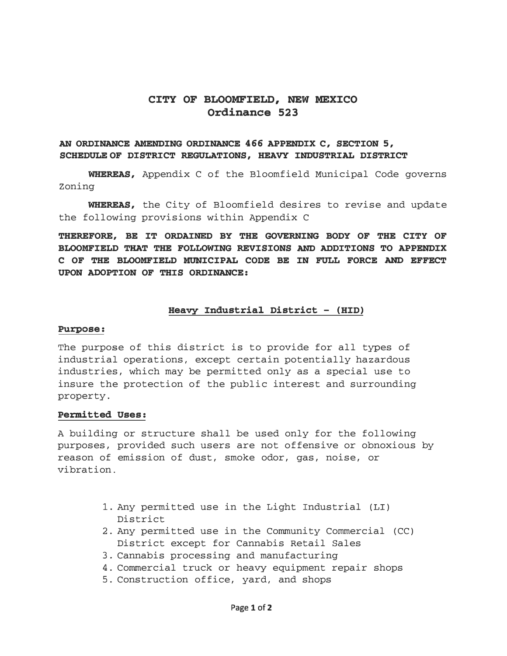# **CITY OF BLOOMFIELD, NEW MEXICO Ordinance 523**

### AN ORDINANCE AMENDING ORDINANCE 466 APPENDIX C, SECTION 5, **SCHEDULE OF DISTRICT REGULATIONS, HEAVY INDUSTRIAL DISTRICT**

**WHEREAS,** Appendix C of the Bloomfield Municipal Code governs Zoning

**WHEREAS,** the City of Bloomfield desires to revise and update the following provisions within Appendix C

**THEREFORE, BE IT ORDAINED BY THE GOVERNING BODY OF THE CITY OF BLOOMFIELD THAT THE FOLLOWING REVISIONS AND ADDITIONS TO APPENDIX C OF THE BLOOMFIELD MUNICIPAL CODE BE IN FULL FORCE AND EFFECT UPON ADOPTION OF THIS ORDINANCE:** 

#### **Heavy Industrial District - (HID)**

#### **Purpose:**

The purpose of this district is to provide for all types of industrial operations, except certain potentially hazardous industries, which may be permitted only as a special use to insure the protection of the public interest and surrounding property.

#### **Permitted Uses:**

A building or structure shall be used only for the following purposes, provided such users are not offensive or obnoxious by reason of emission of dust, smoke odor, gas, noise, or vibration.

- 1. Any permitted use in the Light Industrial (LI) District
- 2. Any permitted use in the Community Commercial (CC) District except for Cannabis Retail Sales
- 3. Cannabis processing and manufacturing
- 4. Commercial truck or heavy equipment repair shops
- 5. Construction office, yard, and shops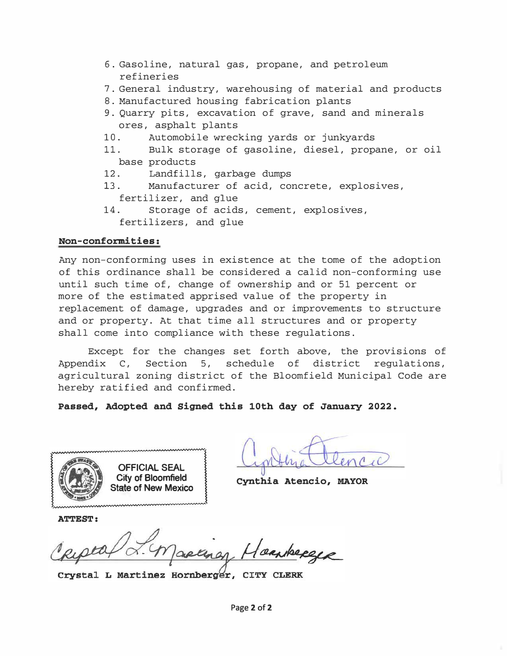- 6. Gasoline, natural gas, propane, and petroleum refineries
- 7. General industry, warehousing of material and products
- 8. Manufactured housing fabrication plants
- 9. Quarry pits, excavation of grave, sand and minerals ores, asphalt plants
- 10. Automobile wrecking yards or junkyards
- 11. Bulk storage of gasoline, diesel, propane, or oil base products
- 12. Landfills, garbage dumps
- 13. Manufacturer of acid, concrete, explosives, fertilizer, and glue
- 14. Storage of acids, cement, explosives, fertilizers, and glue

# Non-conformities:

Any non-conforming uses in existence at the tome of the adoption of this ordinance shall be considered a calid non-conforming use until such time of, change of ownership and or 51 percent or more of the estimated apprised value of the property in replacement of damage, upgrades and or improvements to structure and or property. At that time all structures and or property shall come into compliance with these regulations.

Except for the changes set forth above, the provisions of Appendix C, Section 5, schedule of district regulations, agricultural zoning district of the Bloomfield Municipal Code are hereby ratified and confirmed.

Passed, Adopted and Signed this 10th day of January 2022.



applicatenco

Cynthia Atencio, MAYOR

ATTEST:

Crystal L Martinez Hornberger, CITY CLERK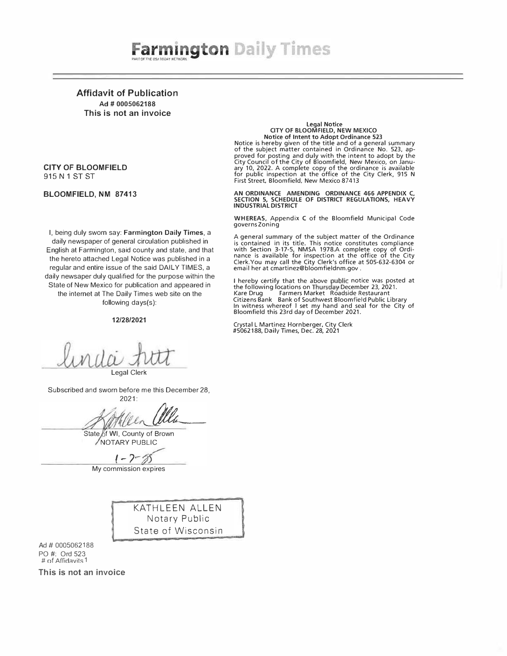

Affidavit of Publication Ad # 0005062188 This is not an invoice

#### CITY OF BLOOMFIELD 915 N 1 ST ST

#### BLOOMFIELD, NM 87413

I, being duly sworn say: Farmington Daily Times, a daily newspaper of general circulation published in English at Farmington, said county and state, and that the hereto attached Legal Notice was published in a regular and entire issue of the said DAILY TIMES, a daily newsaper duly qualified for the purpose within the State of New Mexico for publication and appeared in the internet at The Daily Times web site on the following days(s):

#### 12/28/2021

Legal Clerk

Subscribed and sworn before me this December 28, 2021:

Men alla

State of WI, County of Brown NOTARY PUBLIC

 $1 - 2 - 8$ 

My commission expires

KATHLEEN ALLEN Notary Public State of Wisconsin

Ad# 0005062188 PO#: Ord 523  $#$  of Affidavits 1

This is not an invoice

#### Legal Notice CITY OF BLOOMFIELD, NEW MEXICO Notice of Intent to Adopt Ordinance 523

Notice is hereby given of the title and of a general summary<br>of the subject matter contained in Ordinance No. 523, ap-<br>proved for posting and duly with the intent to adopt by the<br>City Council of the City of Bloomfield, New First Street, Bloomfield, New Mexico 87413

AN ORDINANCE AMENDING ORDINANCE 466 APPENDIX C,<br>SECTION 5, SCHEDULE OF DISTRICT REGULATIONS, HEAVY<br>INDUSTRIAL DISTRICT

WHEREAS, Appendix C of the Bloomfield Municipal Code governs Zoning

A general summary of the subject matter of the Ordinance is contained in its title. This notice constitutes compliance with Section 3-17-5, NMSA 1978.A complete copy of Ordi-nance is available for inspection at the office of the City Clerk.You may call the City Clerk's office at 505-632-6304 or email her at cmartinez@bloomfieldnm.gov.

I hereby certify that the above public notice was posted at<br>the following locations on Thursday December 23, 2021.<br>Kare Drug Farmers Market Roadside Restaurant Citizens Bank Bank of Southwest Bloomfield Public Library In witness whereof I set my hand and seal for the City of Bloomfield this 23rd day of December 2021.

Crystal L Martinez Hornberger, City Clerk #5062188, Daily Times, Dec. 28, 2021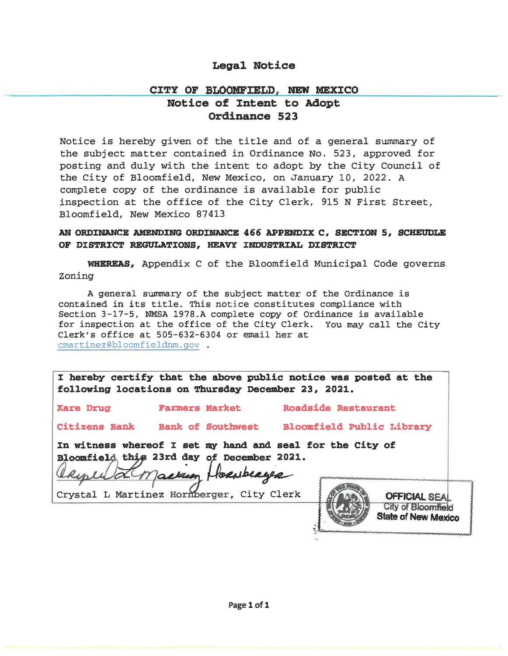# Legal Notice

# CITY OF BLOOMFIELD, NEW MEXICO Notice of Intent to Adopt

# Ordinance 523

Notice is hereby given of the title and of a general summary of the subject matter contained in Ordinance No. 523, approved for posting and duly with the intent to adopt by the City Council of the City of Bloomfield, New Mexico, on January 10, 2022. A complete copy of the ordinance is available for public �nspection at the office of the City Clerk, 915 N First Street, Bloomfield, New Mexico 87413

### AN ORDINANCE AMENDING ORDINANCE 466 APPENDIX C, SECTION 5, SCHEUDLE OF DISTRICT REGULATIONS, HEAVY INDUSTRIAL DISTRICT

WHEREAS, Appendix C of the Bloomfield Municipal Code governs Zoning

A general summary of the subject matter of the Ordinance is contained in its title. This notice constitutes compliance with Section 3-17-5, NMSA 1978.A complete copy of Ordinance is available for inspection at the office of the City Clerk. You may call the City Clerk's office at 505-632-6304 or email her at cmartinez@bloomfieldnm.gov .

:I hereby certify that the above public notice was posted at the following locations on Thursday December 23, 2021.

Kare Drug Farmers Market Roadside Restaurant

Citizens Bank Bank of southwest

Bloomfield Public Library

In witness whereof I set my hand and seal for the City of

comfield this 23rd day of December 2021.<br>Republic Mackum Hornberge

Crystal L Martinez Hornberger, City Clerk

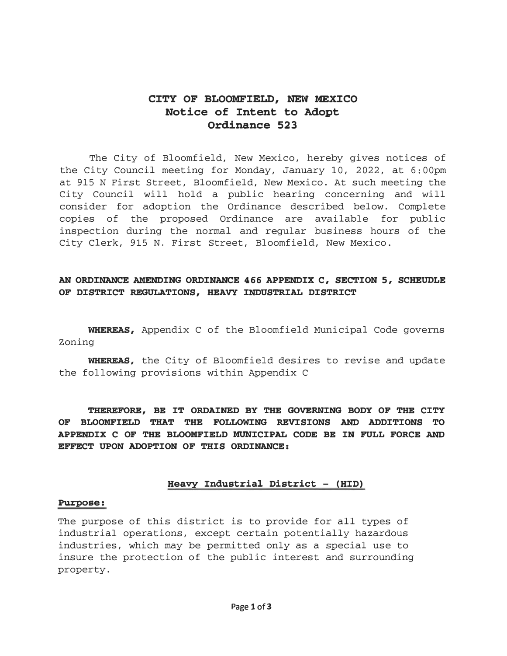# CITY OF BLOOMFIELD, NEW MEXICO Notice of Intent to Adopt Ordinance 523

The City of Bloomfield, New Mexico, hereby gives notices of the City Council meeting for Monday, January 10, 2022, at 6:00pm at 915 N First Street, Bloomfield, New Mexico. At such meeting the City Council will hold a public hearing concerning and will consider for adoption the Ordinance described below. Complete copies of the proposed Ordinance are available for public inspection during the normal and regular business hours of the City Clerk, 915 N. First Street, Bloomfield, New Mexico.

# AN ORDINANCE AMENDING ORDINANCE 466 APPENDIX C, SECTION 5, SCHEUDLE OF DISTRICT REGULATIONS, HEAVY INDUSTRIAL DISTRICT

WHEREAS, Appendix C of the Bloomfield Municipal Code governs Zoning

WHEREAS, the City of Bloomfield desires to revise and update the following provisions within Appendix C

THEREFORE, BE IT ORDAINED BY THE GOVERNING BODY OF THE CITY OF BLOOMFIELD THAT THE FOLLOWING REVISIONS AND ADDITIONS TO APPENDIX C OF THE BLOOMFIELD MUNICIPAL CODE BE IN FULL FORCE AND EFFECT UPON ADOPTION OF THIS ORDINANCE:

### Heavy Industrial District - (HID)

#### Purpose:

The purpose of this district is to provide for all types of industrial operations, except certain potentially hazardous industries, which may be permitted only as a special use to insure the protection of the public interest and surrounding property.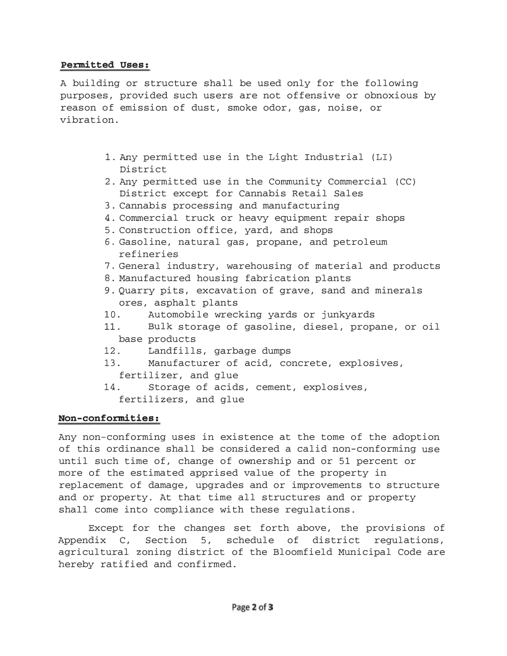### Permitted Uses:

A building or structure shall be used only for the following purposes, provided such users are not offensive or obnoxious by reason of emission of dust, smoke odor, gas, noise, or vibration.

- 1. Any permitted use in the Light Industrial (LI) District
- 2. Any permitted use in the Community Commercial (CC) District except for Cannabis Retail Sales
- 3. Cannabis processing and manufacturing
- 4. Commercial truck or heavy equipment repair shops
- 5. Construction office, yard, and shops
- 6. Gasoline, natural gas, propane, and petroleum refineries
- 7. General industry, warehousing of material and products
- 8. Manufactured housing fabrication plants
- 9. Quarry pits, excavation of grave, sand and minerals ores, asphalt plants
- 10. Automobile wrecking yards or junkyards
- 11. Bulk storage of gasoline, diesel, propane, or oil base products
- 12. Landfills, garbage dumps
- 13. Manufacturer of acid, concrete, explosives, fertilizer, and glue
- 14. Storage of acids, cement, explosives, fertilizers, and glue

### Non-conformities:

Any non-conforming uses in existence at the tome of the adoption of this ordinance shall be considered a calid non-conforming use until such time of, change of ownership and or 51 percent or more of the estimated apprised value of the property in replacement of damage, upgrades and or improvements to structure and or property. At that time all structures and or property shall come into compliance with these regulations.

Except for the changes set forth above, the provisions of Appendix C, Section 5, schedule of district regulations, agricultural zoning district of the Bloomfield Municipal Code are hereby ratified and confirmed.